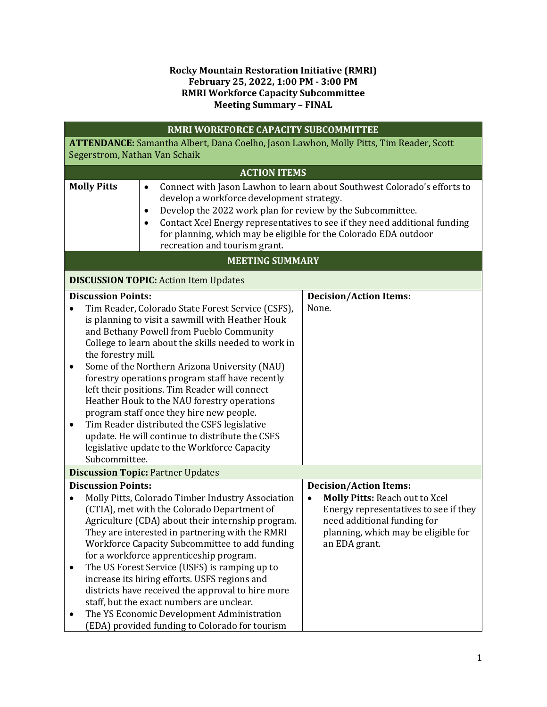## **Rocky Mountain Restoration Initiative (RMRI) February 25, 2022, 1:00 PM - 3:00 PM RMRI Workforce Capacity Subcommittee Meeting Summary – FINAL**

| <b>ATTENDANCE:</b> Samantha Albert, Dana Coelho, Jason Lawhon, Molly Pitts, Tim Reader, Scott                                                                                                                                                                                                                                                                                                                                                                           |  |  |  |  |  |  |  |
|-------------------------------------------------------------------------------------------------------------------------------------------------------------------------------------------------------------------------------------------------------------------------------------------------------------------------------------------------------------------------------------------------------------------------------------------------------------------------|--|--|--|--|--|--|--|
|                                                                                                                                                                                                                                                                                                                                                                                                                                                                         |  |  |  |  |  |  |  |
|                                                                                                                                                                                                                                                                                                                                                                                                                                                                         |  |  |  |  |  |  |  |
| <b>ACTION ITEMS</b><br><b>Molly Pitts</b><br>Connect with Jason Lawhon to learn about Southwest Colorado's efforts to<br>$\bullet$<br>develop a workforce development strategy.<br>Develop the 2022 work plan for review by the Subcommittee.<br>$\bullet$<br>Contact Xcel Energy representatives to see if they need additional funding<br>for planning, which may be eligible for the Colorado EDA outdoor<br>recreation and tourism grant.<br><b>MEETING SUMMARY</b> |  |  |  |  |  |  |  |
|                                                                                                                                                                                                                                                                                                                                                                                                                                                                         |  |  |  |  |  |  |  |
| <b>Decision/Action Items:</b><br>None.                                                                                                                                                                                                                                                                                                                                                                                                                                  |  |  |  |  |  |  |  |
|                                                                                                                                                                                                                                                                                                                                                                                                                                                                         |  |  |  |  |  |  |  |
| <b>Decision/Action Items:</b><br>Molly Pitts: Reach out to Xcel<br>$\bullet$<br>Energy representatives to see if they<br>need additional funding for<br>planning, which may be eligible for<br>an EDA grant.                                                                                                                                                                                                                                                            |  |  |  |  |  |  |  |
|                                                                                                                                                                                                                                                                                                                                                                                                                                                                         |  |  |  |  |  |  |  |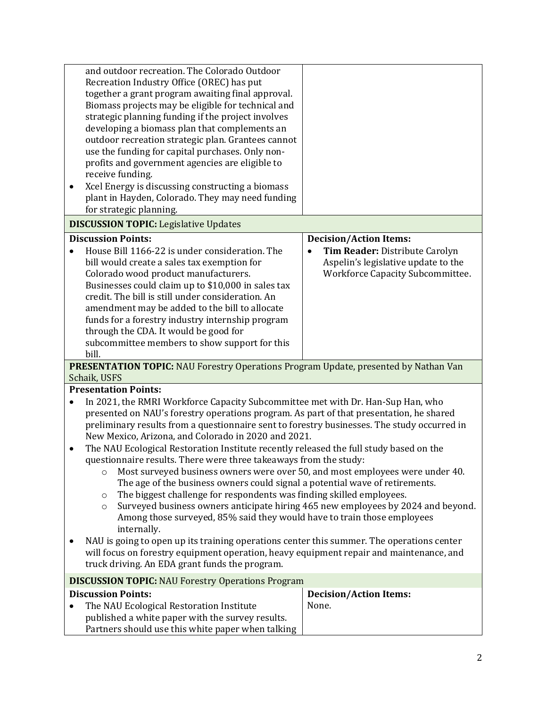| $\bullet$              | and outdoor recreation. The Colorado Outdoor<br>Recreation Industry Office (OREC) has put<br>together a grant program awaiting final approval.<br>Biomass projects may be eligible for technical and<br>strategic planning funding if the project involves<br>developing a biomass plan that complements an<br>outdoor recreation strategic plan. Grantees cannot<br>use the funding for capital purchases. Only non-<br>profits and government agencies are eligible to<br>receive funding.<br>Xcel Energy is discussing constructing a biomass<br>plant in Hayden, Colorado. They may need funding<br>for strategic planning.                                                                                                                                                                                                                                                                                                                                                        |                                                                                                                                            |  |  |  |  |  |  |  |  |
|------------------------|----------------------------------------------------------------------------------------------------------------------------------------------------------------------------------------------------------------------------------------------------------------------------------------------------------------------------------------------------------------------------------------------------------------------------------------------------------------------------------------------------------------------------------------------------------------------------------------------------------------------------------------------------------------------------------------------------------------------------------------------------------------------------------------------------------------------------------------------------------------------------------------------------------------------------------------------------------------------------------------|--------------------------------------------------------------------------------------------------------------------------------------------|--|--|--|--|--|--|--|--|
|                        | <b>DISCUSSION TOPIC:</b> Legislative Updates                                                                                                                                                                                                                                                                                                                                                                                                                                                                                                                                                                                                                                                                                                                                                                                                                                                                                                                                           |                                                                                                                                            |  |  |  |  |  |  |  |  |
|                        | <b>Discussion Points:</b><br>House Bill 1166-22 is under consideration. The<br>bill would create a sales tax exemption for<br>Colorado wood product manufacturers.<br>Businesses could claim up to \$10,000 in sales tax<br>credit. The bill is still under consideration. An<br>amendment may be added to the bill to allocate<br>funds for a forestry industry internship program<br>through the CDA. It would be good for<br>subcommittee members to show support for this<br>bill.                                                                                                                                                                                                                                                                                                                                                                                                                                                                                                 | <b>Decision/Action Items:</b><br>Tim Reader: Distribute Carolyn<br>Aspelin's legislative update to the<br>Workforce Capacity Subcommittee. |  |  |  |  |  |  |  |  |
|                        | <b>PRESENTATION TOPIC:</b> NAU Forestry Operations Program Update, presented by Nathan Van                                                                                                                                                                                                                                                                                                                                                                                                                                                                                                                                                                                                                                                                                                                                                                                                                                                                                             |                                                                                                                                            |  |  |  |  |  |  |  |  |
|                        | Schaik, USFS                                                                                                                                                                                                                                                                                                                                                                                                                                                                                                                                                                                                                                                                                                                                                                                                                                                                                                                                                                           |                                                                                                                                            |  |  |  |  |  |  |  |  |
| $\bullet$<br>$\bullet$ | <b>Presentation Points:</b><br>In 2021, the RMRI Workforce Capacity Subcommittee met with Dr. Han-Sup Han, who<br>presented on NAU's forestry operations program. As part of that presentation, he shared<br>preliminary results from a questionnaire sent to forestry businesses. The study occurred in<br>New Mexico, Arizona, and Colorado in 2020 and 2021.<br>The NAU Ecological Restoration Institute recently released the full study based on the<br>questionnaire results. There were three takeaways from the study:<br>Most surveyed business owners were over 50, and most employees were under 40.<br>$\circ$<br>The age of the business owners could signal a potential wave of retirements.<br>The biggest challenge for respondents was finding skilled employees.<br>$\circ$<br>Surveyed business owners anticipate hiring 465 new employees by 2024 and beyond.<br>$\circ$<br>Among those surveyed, 85% said they would have to train those employees<br>internally. |                                                                                                                                            |  |  |  |  |  |  |  |  |

• NAU is going to open up its training operations center this summer. The operations center will focus on forestry equipment operation, heavy equipment repair and maintenance, and truck driving. An EDA grant funds the program.

| <b>DISCUSSION TOPIC:</b> NAU Forestry Operations Program |                                                   |                               |  |  |  |
|----------------------------------------------------------|---------------------------------------------------|-------------------------------|--|--|--|
| <b>Discussion Points:</b>                                |                                                   | <b>Decision/Action Items:</b> |  |  |  |
|                                                          | The NAU Ecological Restoration Institute          | None.                         |  |  |  |
|                                                          | published a white paper with the survey results.  |                               |  |  |  |
|                                                          | Partners should use this white paper when talking |                               |  |  |  |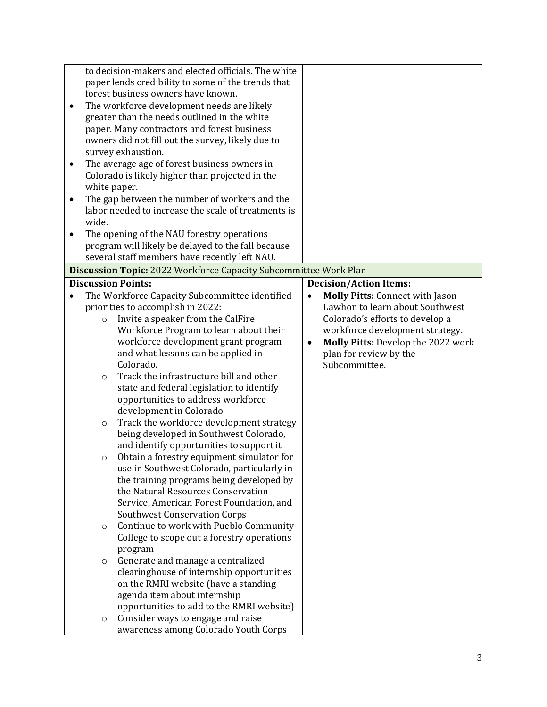|           |         | to decision-makers and elected officials. The white              |           |                                        |
|-----------|---------|------------------------------------------------------------------|-----------|----------------------------------------|
|           |         | paper lends credibility to some of the trends that               |           |                                        |
|           |         | forest business owners have known.                               |           |                                        |
|           |         |                                                                  |           |                                        |
| ٠         |         | The workforce development needs are likely                       |           |                                        |
|           |         | greater than the needs outlined in the white                     |           |                                        |
|           |         | paper. Many contractors and forest business                      |           |                                        |
|           |         | owners did not fill out the survey, likely due to                |           |                                        |
|           |         | survey exhaustion.                                               |           |                                        |
|           |         | The average age of forest business owners in                     |           |                                        |
|           |         | Colorado is likely higher than projected in the                  |           |                                        |
|           |         | white paper.                                                     |           |                                        |
| $\bullet$ |         | The gap between the number of workers and the                    |           |                                        |
|           |         | labor needed to increase the scale of treatments is              |           |                                        |
|           | wide.   |                                                                  |           |                                        |
|           |         | The opening of the NAU forestry operations                       |           |                                        |
|           |         | program will likely be delayed to the fall because               |           |                                        |
|           |         | several staff members have recently left NAU.                    |           |                                        |
|           |         | Discussion Topic: 2022 Workforce Capacity Subcommittee Work Plan |           |                                        |
|           |         |                                                                  |           |                                        |
|           |         | <b>Discussion Points:</b>                                        |           | <b>Decision/Action Items:</b>          |
| $\bullet$ |         | The Workforce Capacity Subcommittee identified                   | $\bullet$ | <b>Molly Pitts: Connect with Jason</b> |
|           |         | priorities to accomplish in 2022:                                |           | Lawhon to learn about Southwest        |
|           | $\circ$ | Invite a speaker from the CalFire                                |           | Colorado's efforts to develop a        |
|           |         | Workforce Program to learn about their                           |           | workforce development strategy.        |
|           |         | workforce development grant program                              | $\bullet$ | Molly Pitts: Develop the 2022 work     |
|           |         | and what lessons can be applied in                               |           | plan for review by the                 |
|           |         | Colorado.                                                        |           | Subcommittee.                          |
|           | $\circ$ | Track the infrastructure bill and other                          |           |                                        |
|           |         | state and federal legislation to identify                        |           |                                        |
|           |         | opportunities to address workforce                               |           |                                        |
|           |         | development in Colorado                                          |           |                                        |
|           | $\circ$ | Track the workforce development strategy                         |           |                                        |
|           |         | being developed in Southwest Colorado,                           |           |                                        |
|           |         | and identify opportunities to support it                         |           |                                        |
|           | $\circ$ | Obtain a forestry equipment simulator for                        |           |                                        |
|           |         | use in Southwest Colorado, particularly in                       |           |                                        |
|           |         | the training programs being developed by                         |           |                                        |
|           |         | the Natural Resources Conservation                               |           |                                        |
|           |         | Service, American Forest Foundation, and                         |           |                                        |
|           |         | <b>Southwest Conservation Corps</b>                              |           |                                        |
|           | $\circ$ | Continue to work with Pueblo Community                           |           |                                        |
|           |         | College to scope out a forestry operations                       |           |                                        |
|           |         | program                                                          |           |                                        |
|           | $\circ$ | Generate and manage a centralized                                |           |                                        |
|           |         | clearinghouse of internship opportunities                        |           |                                        |
|           |         | on the RMRI website (have a standing                             |           |                                        |
|           |         |                                                                  |           |                                        |
|           |         | agenda item about internship                                     |           |                                        |
|           |         | opportunities to add to the RMRI website)                        |           |                                        |
|           | $\circ$ | Consider ways to engage and raise                                |           |                                        |
|           |         | awareness among Colorado Youth Corps                             |           |                                        |